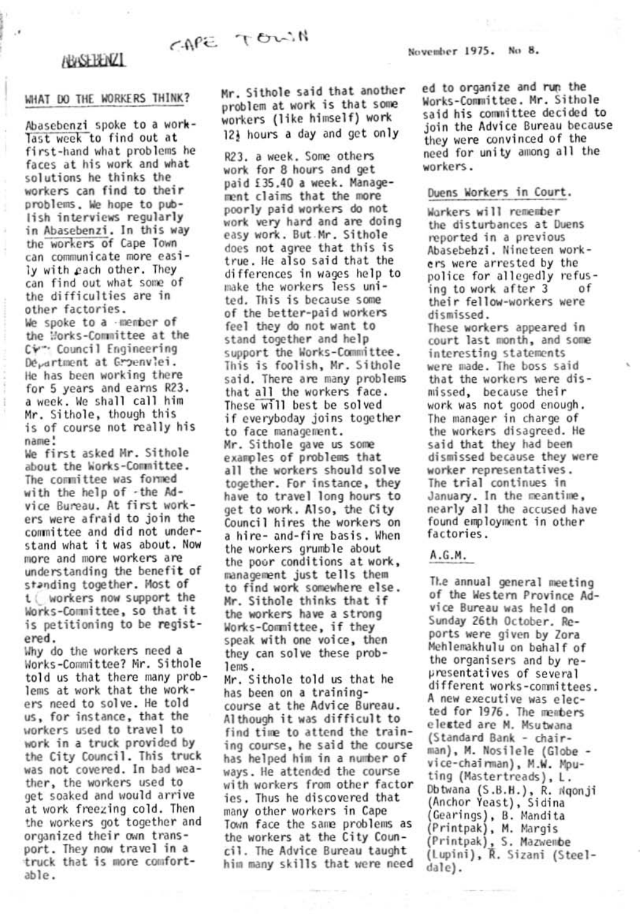# CAPE TOWN

## **ABASEBENZI**

 $\cdot$ 

#### WHAT DO THE WORKERS THINK?

Abasebenzi spoke to a worklast week to find out at first-hand what problems he faces at his work and what solutions he thinks the workers can find to their problems. We hope to publish interviews regularly in Abasebenzi. In this way the workers of Cape Town can communicate more easily with each other. They can find out what some of the difficulties are in other factories. We spoke to a -member of the Works-Committee at the Cv<sup>-</sup> Council Engineering De<sub>v</sub>artment at Groenviei. He has been working there for 5 years and earns R23. a week. We shall call him Mr. Sithole, though this is of course not really his name!

We first asked Mr. Sithole about the Works-Committee. The committee was formed with the help of -the Advice Bureau. At first workers were afraid to join the committee and did not understand what it was about. Now more and more workers are understanding the benefit of standing together. Most of t ( workers now support the Works-Committee, so that it is petitioning to be registered.

Why do the workers need a Works-Committee? Mr. Sithole told us that there many problems at work that the workers need to solve. He told us, for instance, that the workers used to travel to work in a truck provided by the City Council. This truck was not covered. In bad weather, the workers used to get soaked and would arrive at work freezing cold. Then the workers got together and organized their own transport. They now travel in a truck that is more comfortable.

Mr. Sithole said that another problem at work is that some workers (like himself) work 12} hours a day and get only

R23. a week. Some others work for 8 hours and get paid £35.40 a week. Management claims that the more poorly paid workers do not work very hard and are doing easy work. But Mr. Sithole does not agree that this is true. He also said that the differences in wages help to make the workers less united. This is because some of the better-paid workers feel they do not want to stand together and help support the Works-Committee. This is foolish, Mr. Sithole said. There are many problems that all the workers face. These will best be solved if everyboday joins together to face management. Mr. Sithole gave us some examples of problems that all the workers should solve together. For instance, they have to travel long hours to get to work. Also, the City Council hires the workers on a hire- and-fire basis. When the workers grumble about the poor conditions at work, management just tells them to find work somewhere else. Mr. Sithole thinks that if the workers have a strong Works-Committee, if they speak with one voice, then they can solve these problems.

Mr. Sithole told us that he has been on a trainingcourse at the Advice Bureau. Although it was difficult to find time to attend the training course, he said the course has helped him in a number of ways. He attended the course with workers from other factor ies. Thus he discovered that many other workers in Cape Town face the same problems as the workers at the City Council. The Advice Bureau taught him many skills that were need

November 1975. No 8.

ed to organize and run the Works-Committee. Mr. Sithole said his committee decided to join the Advice Bureau because they were convinced of the need for unity among all the workers.

#### Duens Workers in Court.

Warkers will remember the disturbances at Duens reported in a previous Abasebehzi. Nineteen workers were arrested by the police for allegedly refusing to work after 3 0Ť their fellow-workers were dismissed.

These workers appeared in court last month, and some interesting statements were made. The boss said that the workers were dismissed, because their work was not good enough. The manager in charge of the workers disagreed. He said that they had been dismissed because they were worker representatives. The trial continues in January. In the meantime, nearly all the accused have found employment in other factories.

### A.G.M.

The annual general meeting of the Western Province Advice Bureau was held on Sunday 26th October. Reports were given by Zora Mehlemakhulu on behalf of the organisers and by representatives of several different works-committees. A new executive was elected for 1976. The members elested are M. Msutwana (Standard Bank - chairman), M. Nosilele (Globe vice-chairman), M.W. Mputing (Mastertreads), L. Dbtwana (S.B.H.), R. Ngonji (Anchor Yeast), Sidina (Gearings), B. Mandita (Printpak), M. Margis (Printpak), S. Mazwembe (Lupini), R. Sizani (Steeldale).